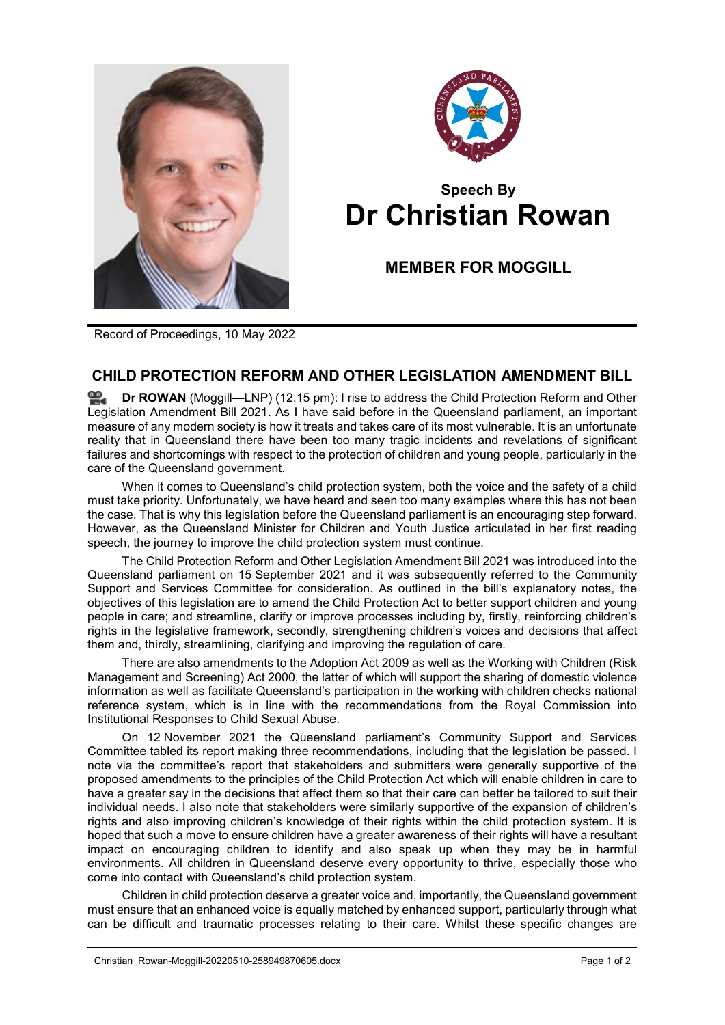



## **Speech By Dr Christian Rowan**

**MEMBER FOR MOGGILL**

Record of Proceedings, 10 May 2022

## **CHILD PROTECTION REFORM AND OTHER LEGISLATION AMENDMENT BILL**

**Dr [ROWAN](http://www.parliament.qld.gov.au/docs/find.aspx?id=0Mba20220510_121529)** (Moggill—LNP) (12.15 pm): I rise to address the Child Protection Reform and Other Legislation Amendment Bill 2021. As I have said before in the Queensland parliament, an important measure of any modern society is how it treats and takes care of its most vulnerable. It is an unfortunate reality that in Queensland there have been too many tragic incidents and revelations of significant failures and shortcomings with respect to the protection of children and young people, particularly in the care of the Queensland government.

When it comes to Queensland's child protection system, both the voice and the safety of a child must take priority. Unfortunately, we have heard and seen too many examples where this has not been the case. That is why this legislation before the Queensland parliament is an encouraging step forward. However, as the Queensland Minister for Children and Youth Justice articulated in her first reading speech, the journey to improve the child protection system must continue.

The Child Protection Reform and Other Legislation Amendment Bill 2021 was introduced into the Queensland parliament on 15 September 2021 and it was subsequently referred to the Community Support and Services Committee for consideration. As outlined in the bill's explanatory notes, the objectives of this legislation are to amend the Child Protection Act to better support children and young people in care; and streamline, clarify or improve processes including by, firstly, reinforcing children's rights in the legislative framework, secondly, strengthening children's voices and decisions that affect them and, thirdly, streamlining, clarifying and improving the regulation of care.

There are also amendments to the Adoption Act 2009 as well as the Working with Children (Risk Management and Screening) Act 2000, the latter of which will support the sharing of domestic violence information as well as facilitate Queensland's participation in the working with children checks national reference system, which is in line with the recommendations from the Royal Commission into Institutional Responses to Child Sexual Abuse.

On 12 November 2021 the Queensland parliament's Community Support and Services Committee tabled its report making three recommendations, including that the legislation be passed. I note via the committee's report that stakeholders and submitters were generally supportive of the proposed amendments to the principles of the Child Protection Act which will enable children in care to have a greater say in the decisions that affect them so that their care can better be tailored to suit their individual needs. I also note that stakeholders were similarly supportive of the expansion of children's rights and also improving children's knowledge of their rights within the child protection system. It is hoped that such a move to ensure children have a greater awareness of their rights will have a resultant impact on encouraging children to identify and also speak up when they may be in harmful environments. All children in Queensland deserve every opportunity to thrive, especially those who come into contact with Queensland's child protection system.

Children in child protection deserve a greater voice and, importantly, the Queensland government must ensure that an enhanced voice is equally matched by enhanced support, particularly through what can be difficult and traumatic processes relating to their care. Whilst these specific changes are